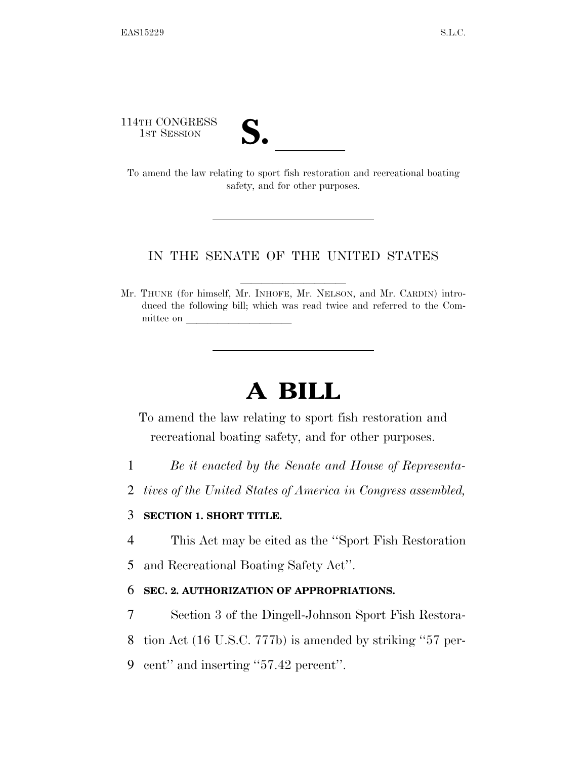114TH CONGRESS

| $\mathbf{v}$ |  |
|--------------|--|
|              |  |

14TH CONGRESS<br>1st Session<br>To amend the law relating to sport fish restoration and recreational boating safety, and for other purposes.

## IN THE SENATE OF THE UNITED STATES

Mr. THUNE (for himself, Mr. INHOFE, Mr. NELSON, and Mr. CARDIN) introduced the following bill; which was read twice and referred to the Committee on

## **A BILL**

To amend the law relating to sport fish restoration and recreational boating safety, and for other purposes.

- 1 *Be it enacted by the Senate and House of Representa-*
- 2 *tives of the United States of America in Congress assembled,*

## 3 **SECTION 1. SHORT TITLE.**

- 4 This Act may be cited as the ''Sport Fish Restoration
- 5 and Recreational Boating Safety Act''.

## 6 **SEC. 2. AUTHORIZATION OF APPROPRIATIONS.**

- 7 Section 3 of the Dingell-Johnson Sport Fish Restora-
- 8 tion Act (16 U.S.C. 777b) is amended by striking ''57 per-
- 9 cent'' and inserting ''57.42 percent''.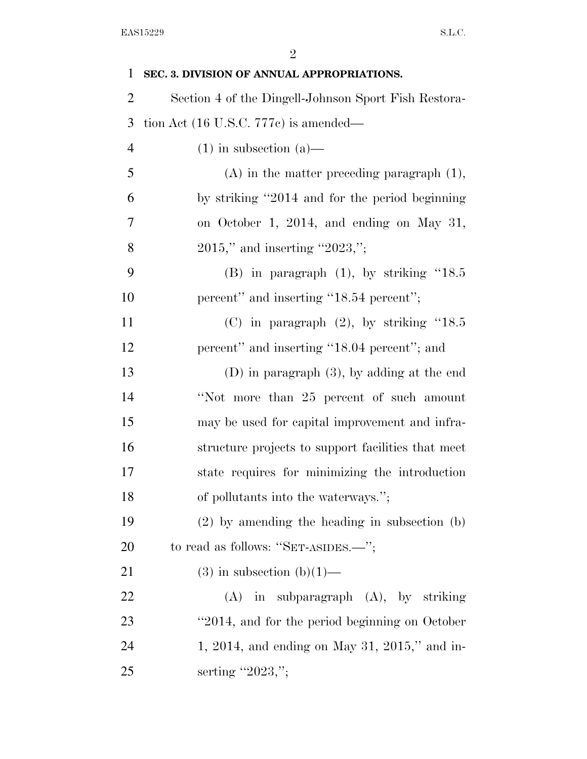| $\mathbf{1}$   | SEC. 3. DIVISION OF ANNUAL APPROPRIATIONS.           |
|----------------|------------------------------------------------------|
| $\overline{2}$ | Section 4 of the Dingell-Johnson Sport Fish Restora- |
| 3              | tion Act (16 U.S.C. 777c) is amended—                |
| $\overline{4}$ | $(1)$ in subsection $(a)$ —                          |
| 5              | $(A)$ in the matter preceding paragraph $(1)$ ,      |
| 6              | by striking "2014 and for the period beginning       |
| 7              | on October 1, 2014, and ending on May 31,            |
| 8              | $2015$ ," and inserting "2023,";                     |
| 9              | $(B)$ in paragraph $(1)$ , by striking "18.5         |
| 10             | percent" and inserting "18.54 percent";              |
| 11             | (C) in paragraph $(2)$ , by striking "18.5           |
| 12             | percent" and inserting "18.04 percent"; and          |
| 13             | $(D)$ in paragraph $(3)$ , by adding at the end      |
| 14             | "Not more than 25 percent of such amount             |
| 15             | may be used for capital improvement and infra-       |
| 16             | structure projects to support facilities that meet   |
| 17             | state requires for minimizing the introduction       |
| 18             | of pollutants into the waterways.";                  |
| 19             | $(2)$ by amending the heading in subsection $(b)$    |
| 20             | to read as follows: "SET-ASIDES.—";                  |
| 21             | $(3)$ in subsection $(b)(1)$ —                       |
| 22             | in subparagraph (A), by striking<br>(A)              |
| 23             | "2014, and for the period beginning on October       |
| 24             | 1, 2014, and ending on May 31, 2015," and in-        |
| 25             | serting "2023,";                                     |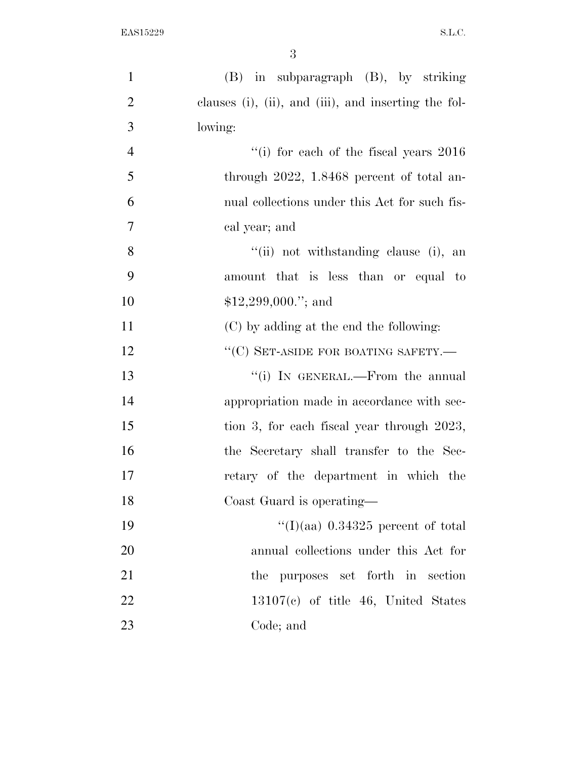| $\mathbf{1}$   | (B) in subparagraph (B), by striking                          |
|----------------|---------------------------------------------------------------|
| $\overline{2}$ | clauses $(i)$ , $(ii)$ , and $(iii)$ , and inserting the fol- |
| 3              | lowing:                                                       |
| $\overline{4}$ | "(i) for each of the fiscal years $2016$                      |
| 5              | through $2022$ , 1.8468 percent of total an-                  |
| 6              | nual collections under this Act for such fis-                 |
| $\overline{7}$ | cal year; and                                                 |
| 8              | "(ii) not withstanding clause (i), an                         |
| 9              | amount that is less than or equal to                          |
| 10             | $$12,299,000."$ ; and                                         |
| 11             | (C) by adding at the end the following:                       |
| 12             | "(C) SET-ASIDE FOR BOATING SAFETY.—                           |
| 13             | "(i) IN GENERAL.—From the annual                              |
| 14             | appropriation made in accordance with sec-                    |
| 15             | tion 3, for each fiscal year through 2023,                    |
| 16             | the Secretary shall transfer to the Sec-                      |
| 17             | retary of the department in which the                         |
| 18             | Coast Guard is operating—                                     |
| 19             | "(I)(aa) $0.34325$ percent of total                           |
| 20             | annual collections under this Act for                         |
| 21             | purposes set forth in section<br>the                          |
| 22             | $13107(c)$ of title 46, United States                         |
| 23             | Code; and                                                     |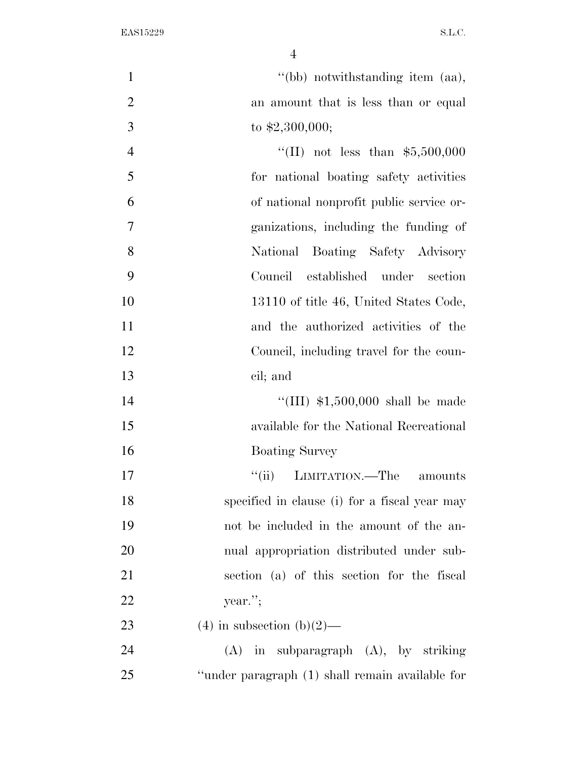| $\mathbf{1}$   | "(bb) notwithstanding item (aa),                |
|----------------|-------------------------------------------------|
| $\overline{2}$ | an amount that is less than or equal            |
| 3              | to $$2,300,000;$                                |
| $\overline{4}$ | "(II) not less than $$5,500,000$                |
| 5              | for national boating safety activities          |
| 6              | of national nonprofit public service or-        |
| $\overline{7}$ | ganizations, including the funding of           |
| 8              | National Boating Safety Advisory                |
| 9              | Council established under section               |
| 10             | 13110 of title 46, United States Code,          |
| 11             | and the authorized activities of the            |
| 12             | Council, including travel for the coun-         |
| 13             | cil; and                                        |
| 14             | "(III) $$1,500,000$ shall be made               |
| 15             | available for the National Recreational         |
| 16             | <b>Boating Survey</b>                           |
| 17             | LIMITATION.—The<br>``(ii)<br>amounts            |
| 18             | specified in clause (i) for a fiscal year may   |
| 19             | not be included in the amount of the an-        |
| 20             | nual appropriation distributed under sub-       |
| 21             | section (a) of this section for the fiscal      |
| 22             | year.";                                         |
| 23             | $(4)$ in subsection $(b)(2)$ —                  |
| 24             | $(A)$ in subparagraph $(A)$ , by striking       |
| 25             | "under paragraph (1) shall remain available for |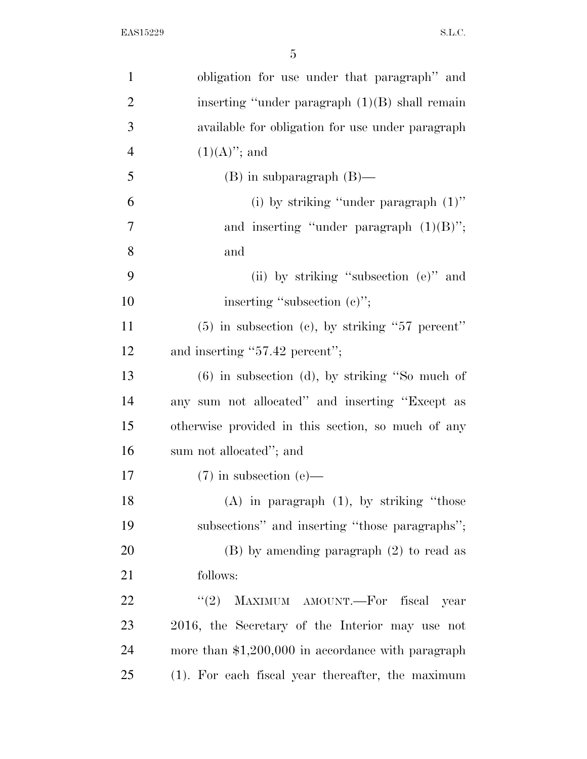| $\mathbf{1}$   | obligation for use under that paragraph" and        |
|----------------|-----------------------------------------------------|
| $\overline{2}$ | inserting "under paragraph $(1)(B)$ shall remain    |
| 3              | available for obligation for use under paragraph    |
| $\overline{4}$ | $(1)(A)$ "; and                                     |
| 5              | $(B)$ in subparagraph $(B)$ —                       |
| 6              | (i) by striking "under paragraph $(1)$ "            |
| $\overline{7}$ | and inserting "under paragraph $(1)(B)$ ";          |
| 8              | and                                                 |
| 9              | (ii) by striking "subsection (e)" and               |
| 10             | inserting "subsection (c)";                         |
| 11             | $(5)$ in subsection (c), by striking "57 percent"   |
| 12             | and inserting "57.42 percent";                      |
| 13             | $(6)$ in subsection $(d)$ , by striking "So much of |
| 14             | any sum not allocated" and inserting "Except as     |
| 15             | otherwise provided in this section, so much of any  |
| 16             | sum not allocated"; and                             |
| 17             | $(7)$ in subsection (e)—                            |
| 18             | $(A)$ in paragraph $(1)$ , by striking "those       |
| 19             | subsections" and inserting "those paragraphs";      |
| 20             | $(B)$ by amending paragraph $(2)$ to read as        |
| 21             | follows:                                            |
| 22             | MAXIMUM AMOUNT.-For fiscal year<br>(2)              |
| 23             | 2016, the Secretary of the Interior may use not     |
| 24             | more than $$1,200,000$ in accordance with paragraph |
| 25             | (1). For each fiscal year thereafter, the maximum   |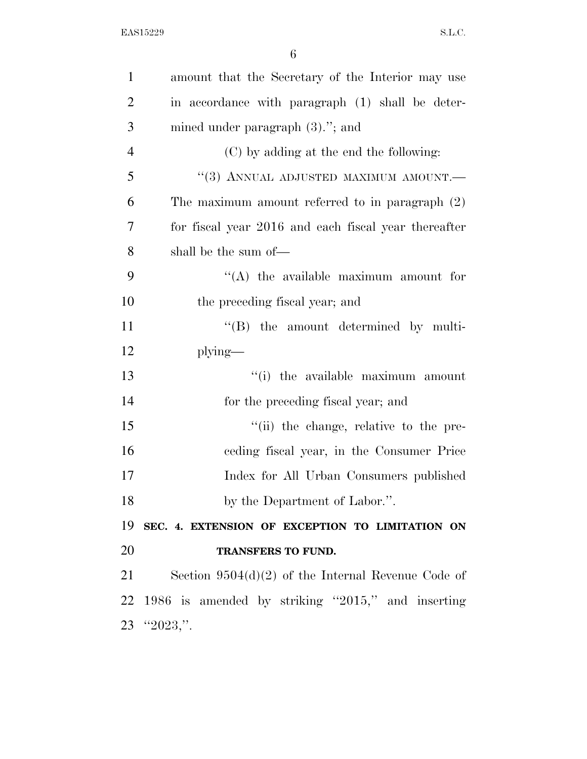| $\mathbf{1}$   | amount that the Secretary of the Interior may use    |
|----------------|------------------------------------------------------|
| $\overline{2}$ | in accordance with paragraph (1) shall be deter-     |
| 3              | mined under paragraph $(3)$ ."; and                  |
| $\overline{4}$ | (C) by adding at the end the following:              |
| 5              | "(3) ANNUAL ADJUSTED MAXIMUM AMOUNT.-                |
| 6              | The maximum amount referred to in paragraph $(2)$    |
| $\overline{7}$ | for fiscal year 2016 and each fiscal year thereafter |
| 8              | shall be the sum of—                                 |
| 9              | $\lq\lq$ the available maximum amount for            |
| 10             | the preceding fiscal year; and                       |
| 11             | $\lq\lq$ (B) the amount determined by multi-         |
| 12             | $plying$ —                                           |
| 13             | "(i) the available maximum amount                    |
| 14             | for the preceding fiscal year; and                   |
| 15             | "(ii) the change, relative to the pre-               |
| 16             | ceding fiscal year, in the Consumer Price            |
| 17             | Index for All Urban Consumers published              |
| 18             | by the Department of Labor.".                        |
| 19             | SEC. 4. EXTENSION OF EXCEPTION TO LIMITATION ON      |
| 20             | TRANSFERS TO FUND.                                   |
| 21             | Section $9504(d)(2)$ of the Internal Revenue Code of |
| 22             | 1986 is amended by striking "2015," and inserting    |
|                | $23$ " $2023$ ,".                                    |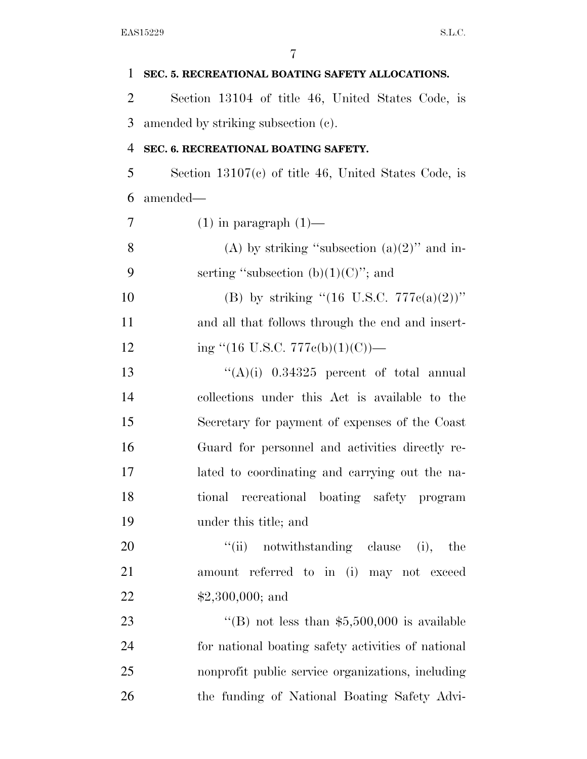| 1  | SEC. 5. RECREATIONAL BOATING SAFETY ALLOCATIONS.       |
|----|--------------------------------------------------------|
| 2  | Section 13104 of title 46, United States Code, is      |
| 3  | amended by striking subsection (c).                    |
| 4  | SEC. 6. RECREATIONAL BOATING SAFETY.                   |
| 5  | Section $13107(c)$ of title 46, United States Code, is |
| 6  | amended—                                               |
| 7  | $(1)$ in paragraph $(1)$ —                             |
| 8  | (A) by striking "subsection $(a)(2)$ " and in-         |
| 9  | serting "subsection $(b)(1)(C)$ "; and                 |
| 10 | (B) by striking " $(16 \text{ U.S.C. } 777c(a)(2))$ "  |
| 11 | and all that follows through the end and insert-       |
| 12 | ing "(16 U.S.C. 777 $e(b)(1)(C)$ )—                    |
| 13 | $((A)(i)$ 0.34325 percent of total annual              |
| 14 | collections under this Act is available to the         |
| 15 | Secretary for payment of expenses of the Coast         |
| 16 | Guard for personnel and activities directly re-        |
| 17 | lated to coordinating and carrying out the na-         |
| 18 | tional recreational boating safety program             |
| 19 | under this title; and                                  |
| 20 | "(ii) notwithstanding clause (i),<br>the               |
| 21 | amount referred to in (i) may not exceed               |
| 22 | $$2,300,000;$ and                                      |
| 23 | "(B) not less than $$5,500,000$ is available           |
| 24 | for national boating safety activities of national     |
| 25 | nonprofit public service organizations, including      |
| 26 | the funding of National Boating Safety Advi-           |